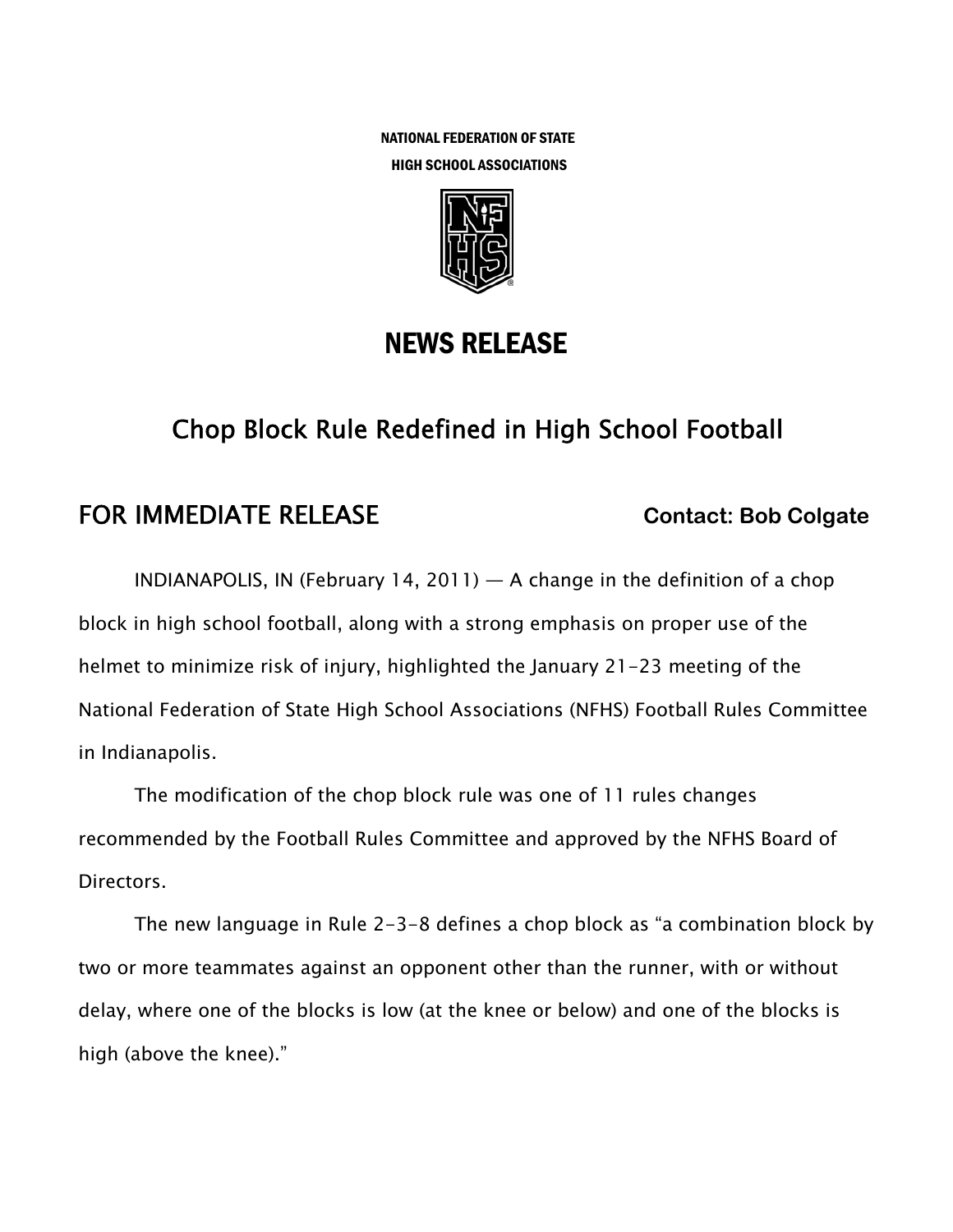NATIONAL FEDERATION OF STATE HIGH SCHOOL ASSOCIATIONS



## NEWS RELEASE

# Chop Block Rule Redefined in High School Football

### **FOR IMMEDIATE RELEASE Contact: Bob Colgate**

INDIANAPOLIS, IN (February 14, 2011)  $-$  A change in the definition of a chop block in high school football, along with a strong emphasis on proper use of the helmet to minimize risk of injury, highlighted the January 21-23 meeting of the National Federation of State High School Associations (NFHS) Football Rules Committee in Indianapolis.

The modification of the chop block rule was one of 11 rules changes recommended by the Football Rules Committee and approved by the NFHS Board of Directors.

The new language in Rule 2-3-8 defines a chop block as "a combination block by two or more teammates against an opponent other than the runner, with or without delay, where one of the blocks is low (at the knee or below) and one of the blocks is high (above the knee)."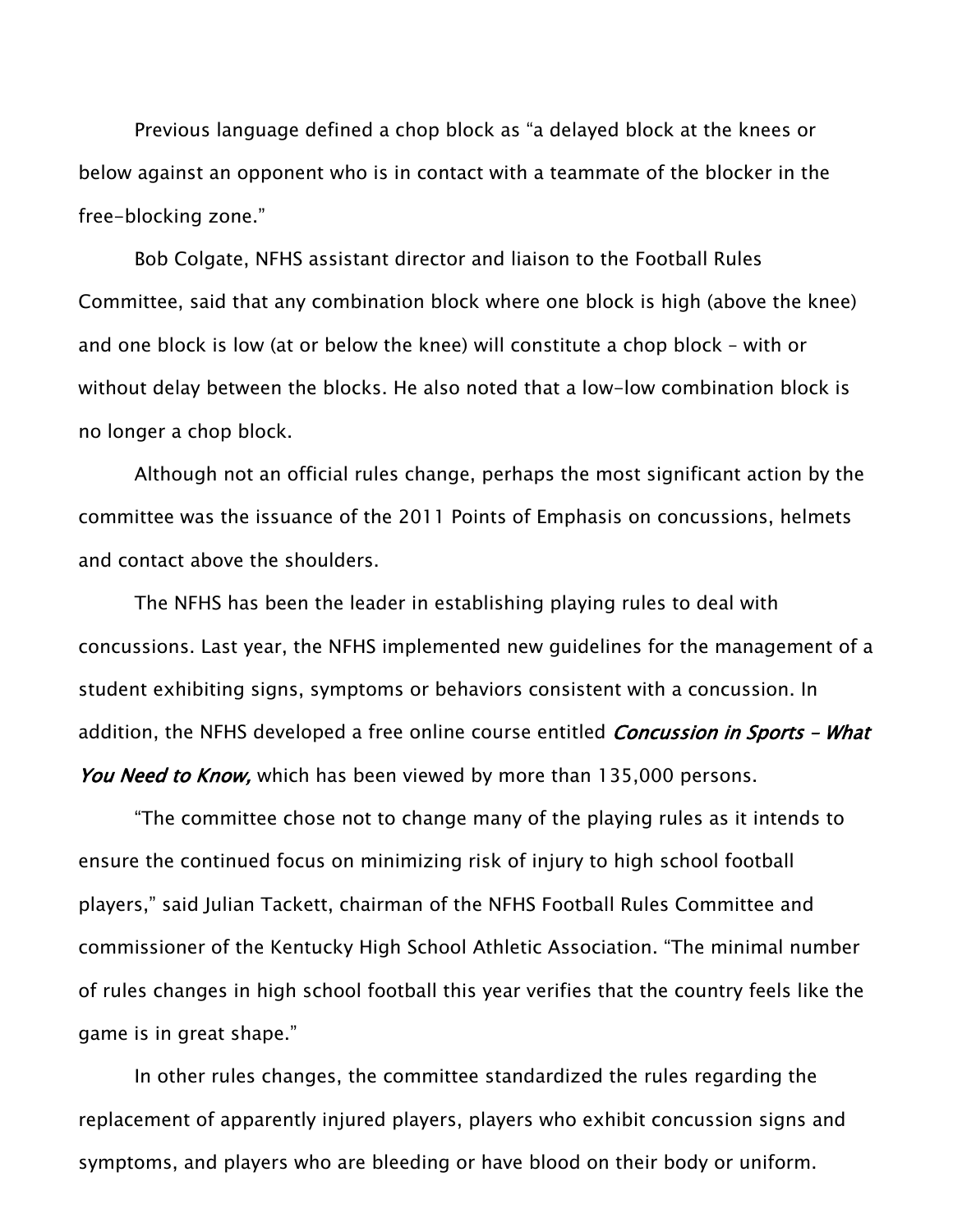Previous language defined a chop block as "a delayed block at the knees or below against an opponent who is in contact with a teammate of the blocker in the free-blocking zone."

Bob Colgate, NFHS assistant director and liaison to the Football Rules Committee, said that any combination block where one block is high (above the knee) and one block is low (at or below the knee) will constitute a chop block – with or without delay between the blocks. He also noted that a low-low combination block is no longer a chop block.

Although not an official rules change, perhaps the most significant action by the committee was the issuance of the 2011 Points of Emphasis on concussions, helmets and contact above the shoulders.

The NFHS has been the leader in establishing playing rules to deal with concussions. Last year, the NFHS implemented new guidelines for the management of a student exhibiting signs, symptoms or behaviors consistent with a concussion. In addition, the NFHS developed a free online course entitled *Concussion in Sports - What* You Need to Know, which has been viewed by more than 135,000 persons.

"The committee chose not to change many of the playing rules as it intends to ensure the continued focus on minimizing risk of injury to high school football players," said Julian Tackett, chairman of the NFHS Football Rules Committee and commissioner of the Kentucky High School Athletic Association. "The minimal number of rules changes in high school football this year verifies that the country feels like the game is in great shape."

In other rules changes, the committee standardized the rules regarding the replacement of apparently injured players, players who exhibit concussion signs and symptoms, and players who are bleeding or have blood on their body or uniform.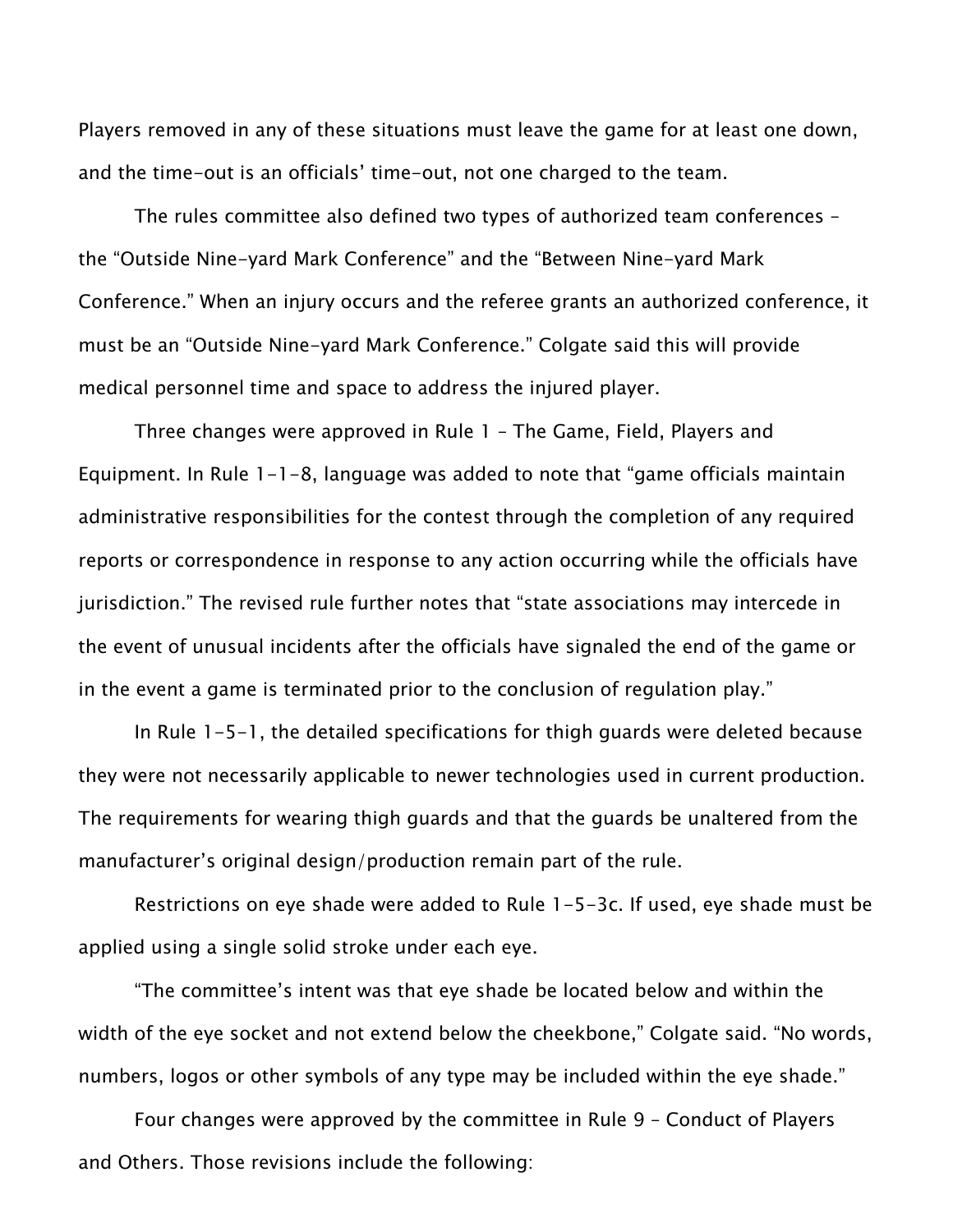Players removed in any of these situations must leave the game for at least one down, and the time-out is an officials' time-out, not one charged to the team.

The rules committee also defined two types of authorized team conferences – the "Outside Nine-yard Mark Conference" and the "Between Nine-yard Mark Conference." When an injury occurs and the referee grants an authorized conference, it must be an "Outside Nine-yard Mark Conference." Colgate said this will provide medical personnel time and space to address the injured player.

Three changes were approved in Rule 1 – The Game, Field, Players and Equipment. In Rule 1-1-8, language was added to note that "game officials maintain administrative responsibilities for the contest through the completion of any required reports or correspondence in response to any action occurring while the officials have jurisdiction." The revised rule further notes that "state associations may intercede in the event of unusual incidents after the officials have signaled the end of the game or in the event a game is terminated prior to the conclusion of regulation play."

In Rule 1-5-1, the detailed specifications for thigh guards were deleted because they were not necessarily applicable to newer technologies used in current production. The requirements for wearing thigh guards and that the guards be unaltered from the manufacturer's original design/production remain part of the rule.

Restrictions on eye shade were added to Rule 1-5-3c. If used, eye shade must be applied using a single solid stroke under each eye.

"The committee's intent was that eye shade be located below and within the width of the eye socket and not extend below the cheekbone," Colgate said. "No words, numbers, logos or other symbols of any type may be included within the eye shade."

Four changes were approved by the committee in Rule 9 – Conduct of Players and Others. Those revisions include the following: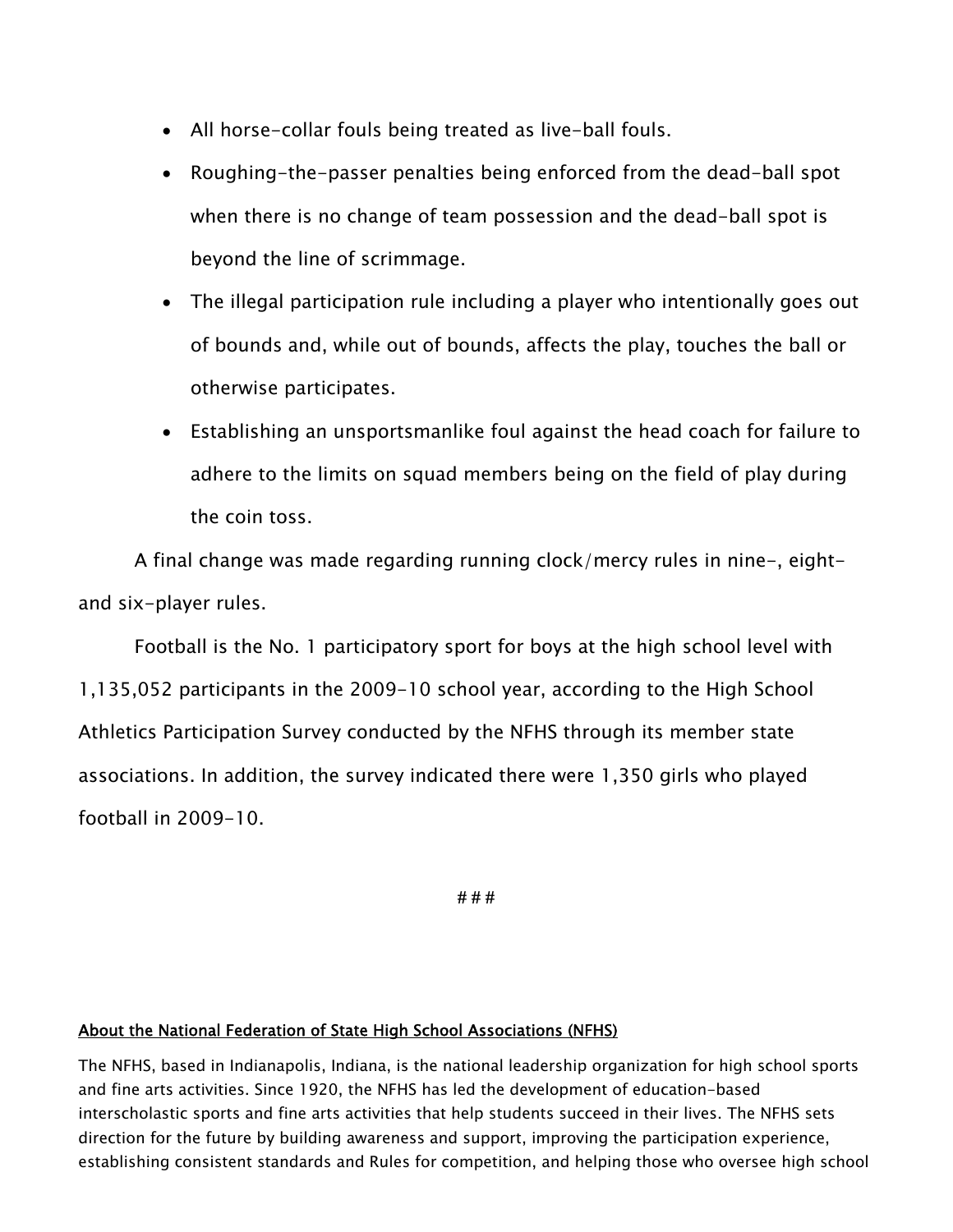- All horse-collar fouls being treated as live-ball fouls.
- Roughing-the-passer penalties being enforced from the dead-ball spot when there is no change of team possession and the dead-ball spot is beyond the line of scrimmage.
- The illegal participation rule including a player who intentionally goes out of bounds and, while out of bounds, affects the play, touches the ball or otherwise participates.
- Establishing an unsportsmanlike foul against the head coach for failure to adhere to the limits on squad members being on the field of play during the coin toss.

A final change was made regarding running clock/mercy rules in nine-, eightand six-player rules.

Football is the No. 1 participatory sport for boys at the high school level with 1,135,052 participants in the 2009-10 school year, according to the High School Athletics Participation Survey conducted by the NFHS through its member state associations. In addition, the survey indicated there were 1,350 girls who played football in 2009-10.

**# # #** 

#### About the National Federation of State High School Associations (NFHS)

The NFHS, based in Indianapolis, Indiana, is the national leadership organization for high school sports and fine arts activities. Since 1920, the NFHS has led the development of education-based interscholastic sports and fine arts activities that help students succeed in their lives. The NFHS sets direction for the future by building awareness and support, improving the participation experience, establishing consistent standards and Rules for competition, and helping those who oversee high school